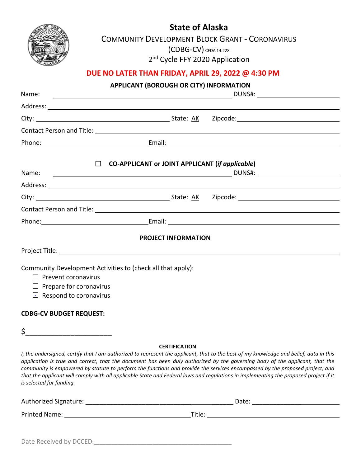**State of Alaska**



COMMUNITY DEVELOPMENT BLOCK GRANT - CORONAVIRUS (CDBG-CV) CFDA 14.228

2<sup>nd</sup> Cycle FFY 2020 Application

### **DUE NO LATER THAN FRIDAY, APRIL 29, 2022 @ 4:30 PM**

**APPLICANT (BOROUGH OR CITY) INFORMATION**

|                                                                                                                                                              | ATTEICANT (DONOOGH ON CITY INTONIVIATI                                                                                                                                                                                                                                                                                                                                                                                                                                                                                                                                 |
|--------------------------------------------------------------------------------------------------------------------------------------------------------------|------------------------------------------------------------------------------------------------------------------------------------------------------------------------------------------------------------------------------------------------------------------------------------------------------------------------------------------------------------------------------------------------------------------------------------------------------------------------------------------------------------------------------------------------------------------------|
| Name:<br><u> 1989 - Johann Harry Harry Harry Harry Harry Harry Harry Harry Harry Harry Harry Harry Harry Harry Harry Harry</u>                               | DUNS#: University of the second service of the service of the service of the service of the service of the service of the service of the service of the service of the service of the service of the service of the service of                                                                                                                                                                                                                                                                                                                                         |
|                                                                                                                                                              |                                                                                                                                                                                                                                                                                                                                                                                                                                                                                                                                                                        |
|                                                                                                                                                              |                                                                                                                                                                                                                                                                                                                                                                                                                                                                                                                                                                        |
|                                                                                                                                                              |                                                                                                                                                                                                                                                                                                                                                                                                                                                                                                                                                                        |
|                                                                                                                                                              |                                                                                                                                                                                                                                                                                                                                                                                                                                                                                                                                                                        |
|                                                                                                                                                              | $\Box$ CO-APPLICANT or JOINT APPLICANT (if applicable)                                                                                                                                                                                                                                                                                                                                                                                                                                                                                                                 |
| Name:<br><u> 1989 - Johann Stoff, Amerikaansk politiker (</u>                                                                                                |                                                                                                                                                                                                                                                                                                                                                                                                                                                                                                                                                                        |
|                                                                                                                                                              |                                                                                                                                                                                                                                                                                                                                                                                                                                                                                                                                                                        |
|                                                                                                                                                              | City: 1990 City: 2000 City: 2000 City: 2000 City: 2000 City: 2000 City: 2000 City: 2000 City: 2000 City: 2000 City: 2000 City: 2000 City: 2000 City: 2000 City: 2000 City: 2000 City: 2000 City: 2000 City: 2000 City: 2000 Ci                                                                                                                                                                                                                                                                                                                                         |
|                                                                                                                                                              |                                                                                                                                                                                                                                                                                                                                                                                                                                                                                                                                                                        |
|                                                                                                                                                              |                                                                                                                                                                                                                                                                                                                                                                                                                                                                                                                                                                        |
|                                                                                                                                                              | <b>PROJECT INFORMATION</b>                                                                                                                                                                                                                                                                                                                                                                                                                                                                                                                                             |
|                                                                                                                                                              |                                                                                                                                                                                                                                                                                                                                                                                                                                                                                                                                                                        |
| Community Development Activities to (check all that apply):<br>$\Box$ Prevent coronavirus<br>$\Box$ Prepare for coronavirus<br>$\Box$ Respond to coronavirus |                                                                                                                                                                                                                                                                                                                                                                                                                                                                                                                                                                        |
| <b>CDBG-CV BUDGET REQUEST:</b>                                                                                                                               |                                                                                                                                                                                                                                                                                                                                                                                                                                                                                                                                                                        |
| $\frac{1}{2}$                                                                                                                                                |                                                                                                                                                                                                                                                                                                                                                                                                                                                                                                                                                                        |
| is selected for funding.                                                                                                                                     | <b>CERTIFICATION</b><br>I, the undersigned, certify that I am authorized to represent the applicant, that to the best of my knowledge and belief, data in this<br>application is true and correct, that the document has been duly authorized by the governing body of the applicant, that the<br>community is empowered by statute to perform the functions and provide the services encompassed by the proposed project, and<br>that the applicant will comply with all applicable State and Federal laws and regulations in implementing the proposed project if it |
|                                                                                                                                                              |                                                                                                                                                                                                                                                                                                                                                                                                                                                                                                                                                                        |
|                                                                                                                                                              |                                                                                                                                                                                                                                                                                                                                                                                                                                                                                                                                                                        |
|                                                                                                                                                              |                                                                                                                                                                                                                                                                                                                                                                                                                                                                                                                                                                        |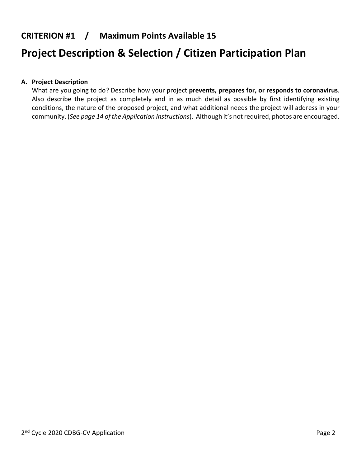### **CRITERION #1 / Maximum Points Available 15**

# **Project Description & Selection / Citizen Participation Plan**

### **A. Project Description**

What are you going to do? Describe how your project **prevents, prepares for, or responds to coronavirus**. Also describe the project as completely and in as much detail as possible by first identifying existing conditions, the nature of the proposed project, and what additional needs the project will address in your community. (*See page 14 of the Application Instructions*). Although it's not required, photos are encouraged.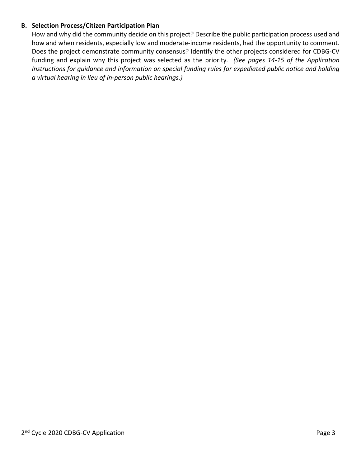### **B. Selection Process/Citizen Participation Plan**

How and why did the community decide on this project? Describe the public participation process used and how and when residents, especially low and moderate-income residents, had the opportunity to comment. Does the project demonstrate community consensus? Identify the other projects considered for CDBG-CV funding and explain why this project was selected as the priority*. (See pages 14-15 of the Application Instructions for guidance and information on special funding rules for expediated public notice and holding a virtual hearing in lieu of in-person public hearings.)*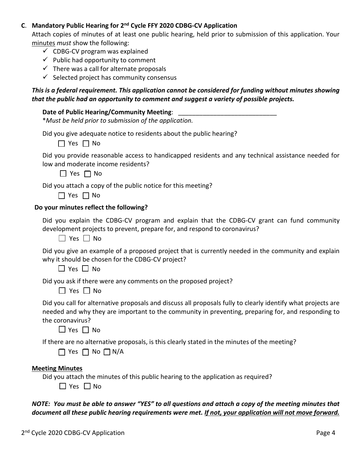### **C**. **Mandatory Public Hearing for 2nd Cycle FFY 2020 CDBG-CV Application**

Attach copies of minutes of at least one public hearing, held prior to submission of this application. Your minutes *must* show the following:

- $\checkmark$  CDBG-CV program was explained
- $\checkmark$  Public had opportunity to comment
- $\checkmark$  There was a call for alternate proposals
- $\checkmark$  Selected project has community consensus

### *This is a federal requirement. This application cannot be considered for funding without minutes showing that the public had an opportunity to comment and suggest a variety of possible projects.*

### **Date of Public Hearing/Community Meeting:**

\**Must be held prior to submission of the application.*

| Did you give adequate notice to residents about the public hearing? |  |  |  |
|---------------------------------------------------------------------|--|--|--|
|---------------------------------------------------------------------|--|--|--|

☐ Yes ☐ No

Did you provide reasonable access to handicapped residents and any technical assistance needed for low and moderate income residents?

☐ Yes ☐ No

Did you attach a copy of the public notice for this meeting?

☐ Yes ☐ No

### **Do your minutes reflect the following?**

Did you explain the CDBG-CV program and explain that the CDBG-CV grant can fund community development projects to prevent, prepare for, and respond to coronavirus?

 $\Box$  Yes  $\Box$  No

Did you give an example of a proposed project that is currently needed in the community and explain why it should be chosen for the CDBG-CV project?

☐ Yes ☐ No

Did you ask if there were any comments on the proposed project?

☐ Yes ☐ No

Did you call for alternative proposals and discuss all proposals fully to clearly identify what projects are needed and why they are important to the community in preventing, preparing for, and responding to the coronavirus?

☐ Yes ☐ No

If there are no alternative proposals, is this clearly stated in the minutes of the meeting?

| $\sqcap$ Yes $\sqcap$ No $\Box$ N/A |  |  |  |  |
|-------------------------------------|--|--|--|--|
|-------------------------------------|--|--|--|--|

### **Meeting Minutes**

Did you attach the minutes of this public hearing to the application as required?

☐ Yes ☐ No

*NOTE: You must be able to answer "YES" to all questions and attach a copy of the meeting minutes that document all these public hearing requirements were met. If not, your application will not move forward.*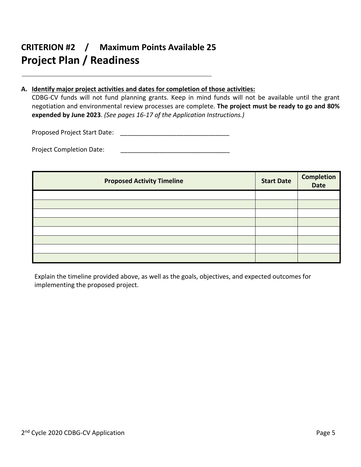## **CRITERION #2 / Maximum Points Available 25 Project Plan / Readiness**

### **A. Identify major project activities and dates for completion of those activities:**

CDBG-CV funds will not fund planning grants. Keep in mind funds will not be available until the grant negotiation and environmental review processes are complete. **The project must be ready to go and 80% expended by June 2023**. *(See pages 16-17 of the Application Instructions.)*

Proposed Project Start Date: \_\_\_\_\_\_\_\_\_\_\_\_\_\_\_\_\_\_\_\_\_\_\_\_\_\_\_\_\_\_\_

Project Completion Date:

| <b>Proposed Activity Timeline</b> | <b>Start Date</b> | <b>Completion</b><br>Date |
|-----------------------------------|-------------------|---------------------------|
|                                   |                   |                           |
|                                   |                   |                           |
|                                   |                   |                           |
|                                   |                   |                           |
|                                   |                   |                           |
|                                   |                   |                           |
|                                   |                   |                           |
|                                   |                   |                           |

Explain the timeline provided above, as well as the goals, objectives, and expected outcomes for implementing the proposed project.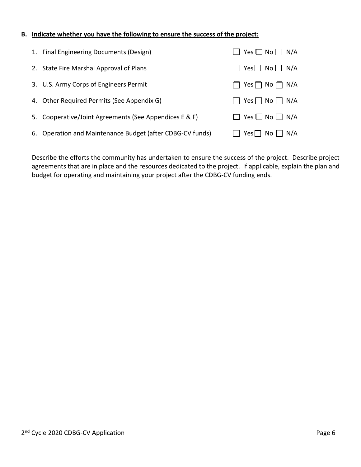#### **B. Indicate whether you have the following to ensure the success of the project:**

| 1. Final Engineering Documents (Design)                   | $\Box$ Yes $\Box$ No $\Box$ N/A |
|-----------------------------------------------------------|---------------------------------|
| 2. State Fire Marshal Approval of Plans                   | $\Box$ Yes $\Box$ No $\Box$ N/A |
| 3. U.S. Army Corps of Engineers Permit                    | $\Box$ Yes $\Box$ No $\Box$ N/A |
| 4. Other Required Permits (See Appendix G)                |                                 |
| 5. Cooperative/Joint Agreements (See Appendices E & F)    | $\Box$ Yes $\Box$ No $\Box$ N/A |
| 6. Operation and Maintenance Budget (after CDBG-CV funds) | $Yes \Box No \Box N$            |

Describe the efforts the community has undertaken to ensure the success of the project. Describe project agreements that are in place and the resources dedicated to the project. If applicable, explain the plan and budget for operating and maintaining your project after the CDBG-CV funding ends.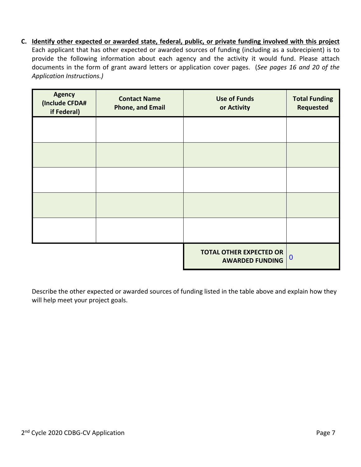**C. Identify other expected or awarded state, federal, public, or private funding involved with this project** Each applicant that has other expected or awarded sources of funding (including as a subrecipient) is to provide the following information about each agency and the activity it would fund. Please attach documents in the form of grant award letters or application cover pages. (*See pages 16 and 20 of the Application Instructions.)*

| <b>Agency</b><br>(Include CFDA#<br>if Federal) | <b>Contact Name</b><br><b>Phone, and Email</b> | <b>Use of Funds</b><br>or Activity                       | <b>Total Funding</b><br><b>Requested</b> |
|------------------------------------------------|------------------------------------------------|----------------------------------------------------------|------------------------------------------|
|                                                |                                                |                                                          |                                          |
|                                                |                                                |                                                          |                                          |
|                                                |                                                |                                                          |                                          |
|                                                |                                                |                                                          |                                          |
|                                                |                                                |                                                          |                                          |
|                                                |                                                | <b>TOTAL OTHER EXPECTED OR</b><br><b>AWARDED FUNDING</b> | $\bf{0}$                                 |

Describe the other expected or awarded sources of funding listed in the table above and explain how they will help meet your project goals.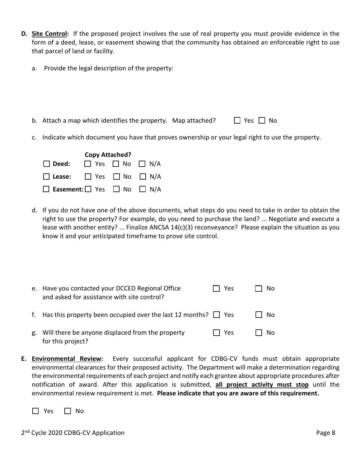- **D. Site Control:** If the proposed project involves the use of real property you must provide evidence in the form of a deed, lease, or easement showing that the community has obtained an enforceable right to use that parcel of land or facility.
	- a. Provide the legal description of the property:
	- b. Attach a map which identifies the property. Map attached?  $\Box$  Yes  $\Box$  No
	- c. Indicate which document you have that proves ownership or your legal right to use the property.



d. If you do not have one of the above documents, what steps do you need to take in order to obtain the right to use the property? For example, do you need to purchase the land? ... Negotiate and execute a lease with another entity? ... Finalize ANCSA 14(c)(3) reconveyance? Please explain the situation as you know it and your anticipated timeframe to prove site control.

|    | e. Have you contacted your DCCED Regional Office<br>and asked for assistance with site control? | Yes     | No  |
|----|-------------------------------------------------------------------------------------------------|---------|-----|
|    | f. Has this property been occupied over the last 12 months? $\Box$ Yes                          |         | No. |
| g. | Will there be anyone displaced from the property<br>for this project?                           | l I Yes | No  |

**E. Environmental Review:** Every successful applicant for CDBG-CV funds must obtain appropriate environmental clearances for their proposed activity. The Department will make a determination regarding the environmental requirements of each project and notify each grantee about appropriate procedures after notification of award. After this application is submitted, **all project activity must stop** until the environmental review requirement is met. **Please indicate that you are aware of this requirement.**

☐ Yes ☐ No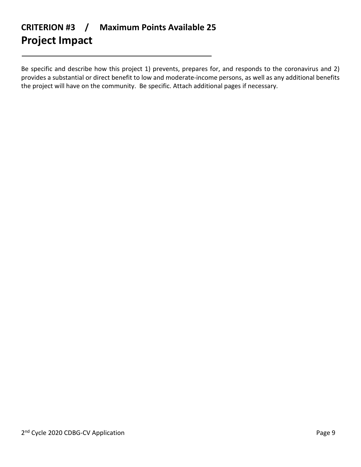# **CRITERION #3 / Maximum Points Available 25 Project Impact**

Be specific and describe how this project 1) prevents, prepares for, and responds to the coronavirus and 2) provides a substantial or direct benefit to low and moderate-income persons, as well as any additional benefits the project will have on the community. Be specific. Attach additional pages if necessary.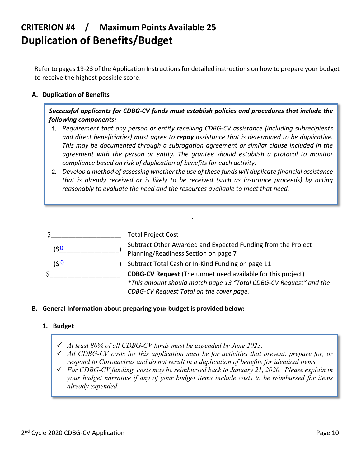## **CRITERION #4 / Maximum Points Available 25 Duplication of Benefits/Budget**

Refer to pages 19-23 of the Application Instructions for detailed instructions on how to prepare your budget to receive the highest possible score.

### **A. Duplication of Benefits**

*Successful applicants for CDBG-CV funds must establish policies and procedures that include the following components:*

- *Requirement that any person or entity receiving CDBG-CV assistance (including subrecipients and direct beneficiaries) must agree to repay assistance that is determined to be duplicative. This may be documented through a subrogation agreement or similar clause included in the agreement with the person or entity. The grantee should establish a protocol to monitor compliance based on risk of duplication of benefits for each activity.*
- *Develop a method of assessing whether the use of these funds will duplicate financial assistance that is already received or is likely to be received (such as insurance proceeds) by acting reasonably to evaluate the need and the resources available to meet that need.*

**`**

|     | <b>Total Project Cost</b>                                                                                                                                                           |
|-----|-------------------------------------------------------------------------------------------------------------------------------------------------------------------------------------|
| 50' | Subtract Other Awarded and Expected Funding from the Project<br>Planning/Readiness Section on page 7                                                                                |
| 0 ئ | Subtract Total Cash or In-Kind Funding on page 11                                                                                                                                   |
|     | <b>CDBG-CV Request</b> (The unmet need available for this project)<br>*This amount should match page 13 "Total CDBG-CV Request" and the<br>CDBG-CV Request Total on the cover page. |

### **B. General Information about preparing your budget is provided below:**

### **1. Budget**

- *At least 80% of all CDBG-CV funds must be expended by June 2023.*
- *All CDBG-CV costs for this application must be for activities that prevent, prepare for, or respond to Coronavirus and do not result in a duplication of benefits for identical items.*
- *For CDBG-CV funding, costs may be reimbursed back to January 21, 2020. Please explain in your budget narrative if any of your budget items include costs to be reimbursed for items already expended.*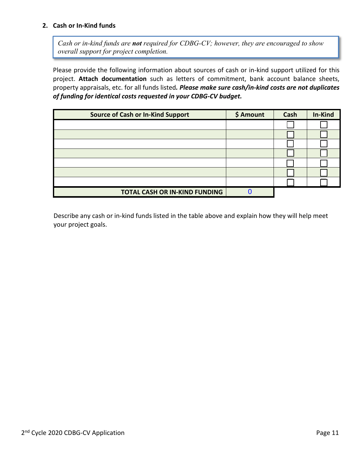### **2. Cash or In-Kind funds**

*Cash or in-kind funds are not required for CDBG-CV; however, they are encouraged to show overall support for project completion.* 

Please provide the following information about sources of cash or in-kind support utilized for this project. **Attach documentation** such as letters of commitment, bank account balance sheets, property appraisals, etc. for all funds listed*. Please make sure cash/in-kind costs are not duplicates of funding for identical costs requested in your CDBG-CV budget.*

| <b>Source of Cash or In-Kind Support</b> | \$ Amount | Cash | In-Kind |
|------------------------------------------|-----------|------|---------|
|                                          |           |      |         |
|                                          |           |      |         |
|                                          |           |      |         |
|                                          |           |      |         |
|                                          |           |      |         |
|                                          |           |      |         |
|                                          |           |      |         |
| <b>TOTAL CASH OR IN-KIND FUNDING</b>     |           |      |         |

Describe any cash or in-kind funds listed in the table above and explain how they will help meet your project goals.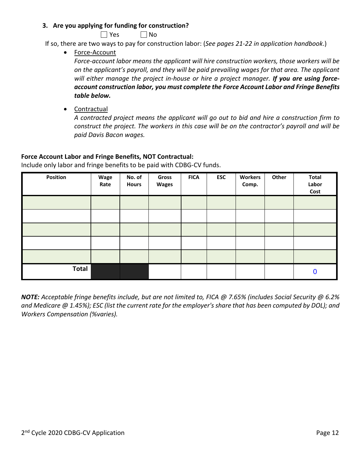### **3. Are you applying for funding for construction?**

 $\Box$  Yes  $\Box$  No

If so, there are two ways to pay for construction labor: (*See pages 21-22 in application handbook*.)

• Force-Account

*Force-account labor means the applicant will hire construction workers, those workers will be on the applicant's payroll, and they will be paid prevailing wages for that area. The applicant will either manage the project in-house or hire a project manager. If you are using forceaccount construction labor, you must complete the Force Account Labor and Fringe Benefits table below.*

• Contractual

*A contracted project means the applicant will go out to bid and hire a construction firm to construct the project. The workers in this case will be on the contractor's payroll and will be paid Davis Bacon wages.*

### **Force Account Labor and Fringe Benefits, NOT Contractual:**

Include only labor and fringe benefits to be paid with CDBG-CV funds.

| Position     | Wage<br>Rate | No. of<br><b>Hours</b> | Gross<br><b>Wages</b> | <b>FICA</b> | <b>ESC</b> | <b>Workers</b><br>Comp. | Other | <b>Total</b><br>Labor<br>Cost |
|--------------|--------------|------------------------|-----------------------|-------------|------------|-------------------------|-------|-------------------------------|
|              |              |                        |                       |             |            |                         |       |                               |
|              |              |                        |                       |             |            |                         |       |                               |
|              |              |                        |                       |             |            |                         |       |                               |
|              |              |                        |                       |             |            |                         |       |                               |
|              |              |                        |                       |             |            |                         |       |                               |
| <b>Total</b> |              |                        |                       |             |            |                         |       | $\bf{0}$                      |

*NOTE: Acceptable fringe benefits include, but are not limited to, FICA @ 7.65% (includes Social Security @ 6.2% and Medicare @ 1.45%); ESC (list the current rate for the employer's share that has been computed by DOL); and Workers Compensation (%varies).*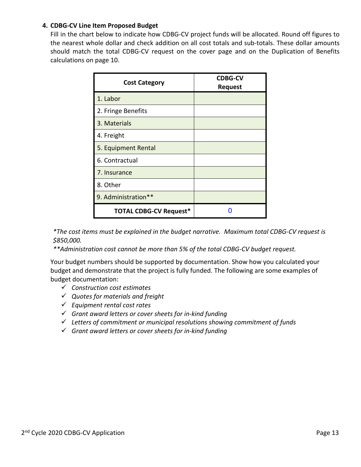### **4. CDBG-CV Line Item Proposed Budget**

Fill in the chart below to indicate how CDBG-CV project funds will be allocated. Round off figures to the nearest whole dollar and check addition on all cost totals and sub-totals. These dollar amounts should match the total CDBG-CV request on the cover page and on the Duplication of Benefits calculations on page 10.

| <b>Cost Category</b>          | <b>CDBG-CV</b><br><b>Request</b> |
|-------------------------------|----------------------------------|
| 1. Labor                      |                                  |
| 2. Fringe Benefits            |                                  |
| 3. Materials                  |                                  |
| 4. Freight                    |                                  |
| 5. Equipment Rental           |                                  |
| 6. Contractual                |                                  |
| 7. Insurance                  |                                  |
| 8. Other                      |                                  |
| 9. Administration**           |                                  |
| <b>TOTAL CDBG-CV Request*</b> |                                  |

*\*The cost items must be explained in the budget narrative. Maximum total CDBG-CV request is \$850,000.* 

*\*\*Administration cost cannot be more than 5% of the total CDBG-CV budget request.*

Your budget numbers should be supported by documentation. Show how you calculated your budget and demonstrate that the project is fully funded. The following are some examples of budget documentation:

- *Construction cost estimates*
- *Quotes for materials and freight*
- *Equipment rental cost rates*
- *Grant award letters or cover sheets for in-kind funding*
- *Letters of commitment or municipal resolutions showing commitment of funds*
- *Grant award letters or cover sheets for in-kind funding*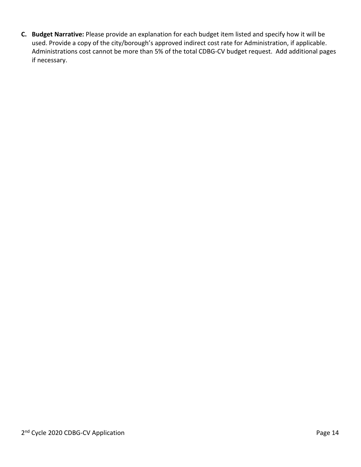**C. Budget Narrative:** Please provide an explanation for each budget item listed and specify how it will be used. Provide a copy of the city/borough's approved indirect cost rate for Administration, if applicable. Administrations cost cannot be more than 5% of the total CDBG-CV budget request. Add additional pages if necessary.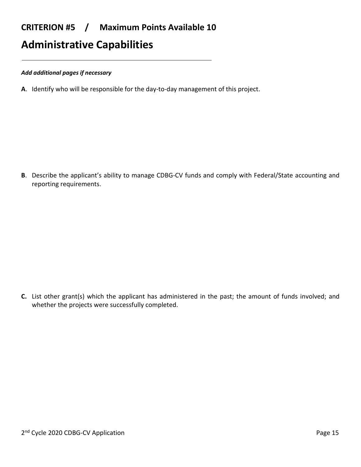### **CRITERION #5 / Maximum Points Available 10**

## **Administrative Capabilities**

#### *Add additional pages if necessary*

**A**. Identify who will be responsible for the day-to-day management of this project.

**B**. Describe the applicant's ability to manage CDBG-CV funds and comply with Federal/State accounting and reporting requirements.

**C.** List other grant(s) which the applicant has administered in the past; the amount of funds involved; and whether the projects were successfully completed.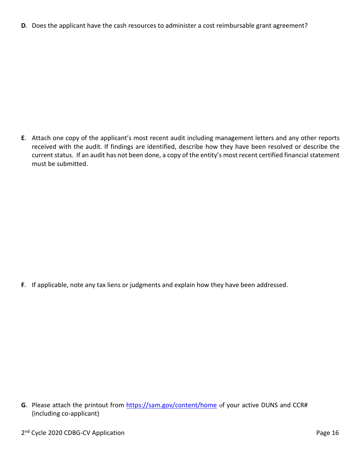**D**. Does the applicant have the cash resources to administer a cost reimbursable grant agreement?

**E**. Attach one copy of the applicant's most recent audit including management letters and any other reports received with the audit. If findings are identified, describe how they have been resolved or describe the current status. If an audit has not been done, a copy of the entity's most recent certified financial statement must be submitted.

**F**. If applicable, note any tax liens or judgments and explain how they have been addressed.

G. Please attach the printout from<https://sam.gov/content/home> of your active DUNS and CCR# (including co-applicant)